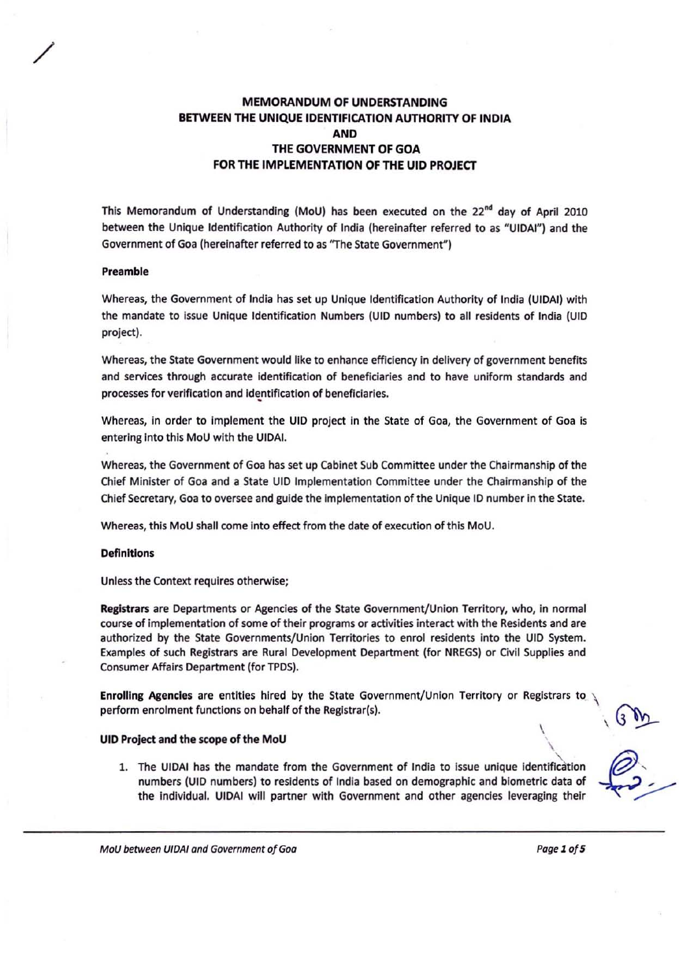# MEMORANDUM OF UNDERSTANDING BETWEEN THE UNIQUE IDENTIFICATION AUTHORITY OF INDIA AND THE GOVERNMENT OF GOA FOR THE IMPLEMENTATION OF THE UID PROJECT

This Memorandum of Understanding (MoU) has been executed on the 22<sup>nd</sup> day of April 2010 between the Unique Identification Authority of India (hereinafter referred to as "UIDAI") and the Government of Goa (hereinafter referred to as "The State Government")

#### Preamble

/

Whereas, the Government of India has set up Unique Identification Authority of India (UIDA!) with the mandate to issue Unique Identification Numbers (UID numbers) to all residents of India (UID project).

Whereas, the State Government would like to enhance efficiency in delivery of government benefits and services through accurate identification of beneficiaries and to have uniform standards and processes for verification and identification of beneficiaries.

Whereas, in order to implement the UID project in the State of Goa, the Government of Goa is entering into this MoU with the UIDAI,

Whereas, the Government of Goa has set up Cabinet Sub Committee under the Chairmanship of the Chief Minister of Goa and a State Ulo Implementation Committee under the Chairmanship of the Chief Secretary, Goa to oversee and guide the Implementation of the Unique 10 number in the State.

Whereas, this MoU shall come into effect from the date of execution of this MoU.

### **Definitions**

Unless the Context requires otherwise;

Registrars are Departments or Agencies of the State Government/Union Territory, who, in normal course of implementation of some of their programs or activities interact with the Residents and are authorized by the State Governments/Union Territories to enrol residents into the UID System. Examples of such Registrars are Rural Development Department (for NREGS) or Civil Supplies and Consumer Affairs Department {for TPDS).

Enrolling Agencies are entities hired by the State Government/Union Territory or Registrars to \ perform enrolment functions on behalf of the Registrar(s).

#### UIO Project and the scope of the MoU ,

1. The UIDAI has the mandate from the Government of India to issue unique identification numbers (UID numbers) to residents of India based on demographic and biometric data of the Individual. UloAI will partner with Government and other agencies leveraging their

\

MoU between UIDAI and Government of Goa **Pagel 100 and Solution** Page 1 of 5

\

 $\lambda$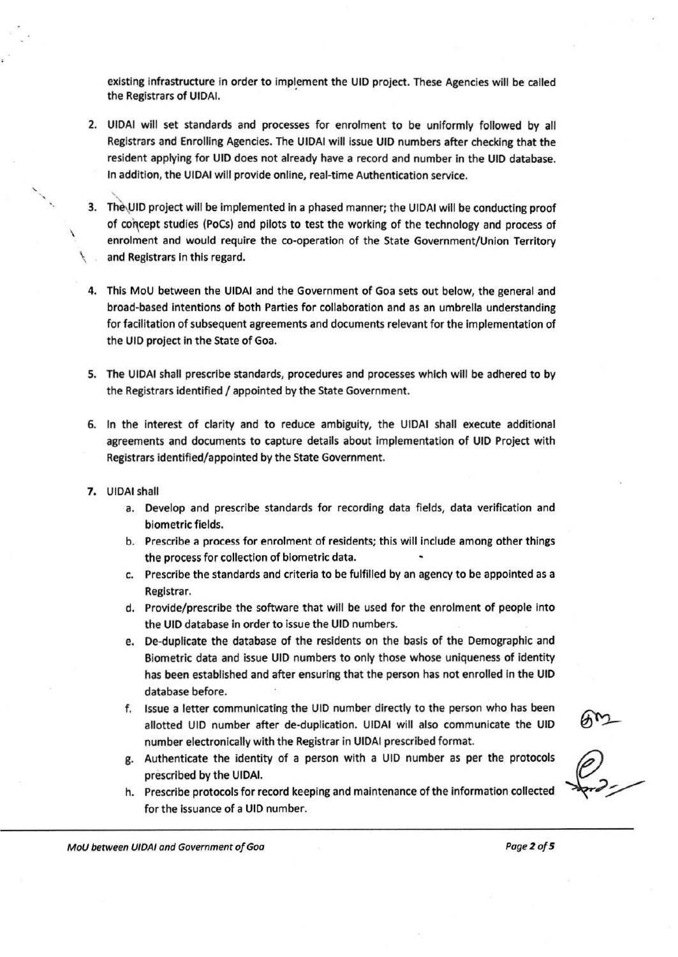existing infrastructure in order to implement the UID project. These Agencies will be called the Registrars of UIOAI.

- 2. UIOAI will set standards and processes for enrolment to be uniformly followed by all Registrars and Enrolling Agencies. The UIDAI wiii issue UID numbers after checking that the resident applying for UID does not already have a record and number in the UID database. In addition, the UiOAI will provide online, real-time Authentication service.
- 3. The UID project will be implemented in a phased manner; the UIDAI will be conducting proof of concept studies (PoCs) and pilots to test the working of the technology and process of enrolment and would require the co-operation of the State Government/Union Territory and Registrars in this regard.
- This MoU between the UIDAI and the Government of Goa sets out below, the general and broad-based intentions of both Parties for collaboration and as an umbrella understanding for facilitation of subsequent agreements and documents relevant for the implementation of the UID project in the State of Goa.
- S. The UIDAI shall prescribe standards, procedures and processes which will be adhered to by the Registrars identified / appointed by the State Government.
- 6. In the interest of clarity and to reduce ambiguity, the UIDAI shall execute additional agreements and documents to capture details about implementation of UID Project with Registrars identified/appointed by the State Government.
- 7. UIDAI shall
	- a. Develop and prescribe standards for recording data fields, data verification and biometric fields.
	- b. Prescribe a process for enrolment of residents; this will include among other things the process for collection of biometric data.
	- c. Prescribe the standards and criteria to be fulfilled by an agency to be appointed as a Registrar.
	- d. Provide/prescribe the software that will be used for the enrolment of people into the UID database in order to issue the UID numbers.
	- e. De-duplicate the database of the residents on the basis of the Demographic and Biometric data and issue UID numbers to only those whose uniqueness of identity has been established and after ensuring that the person has not enrolled in the UID database before.
	- f. Issue a letter communicating the UID number directly to the person who has been allotted UID number after de-duplication. U1DAI will also communicate the UIO number electronicaily with the Registrar in UIDAI prescribed format.
	- g. Authenticate the identity of a person with a UID number as per the protocols prescribed by the UIDAI.
	- h. Prescribe protocols for record keeping and maintenance of the information collected for the issuance of a UID number.

ory<br>6)

MoU between UIDAI and Government of Goa power power was a power of S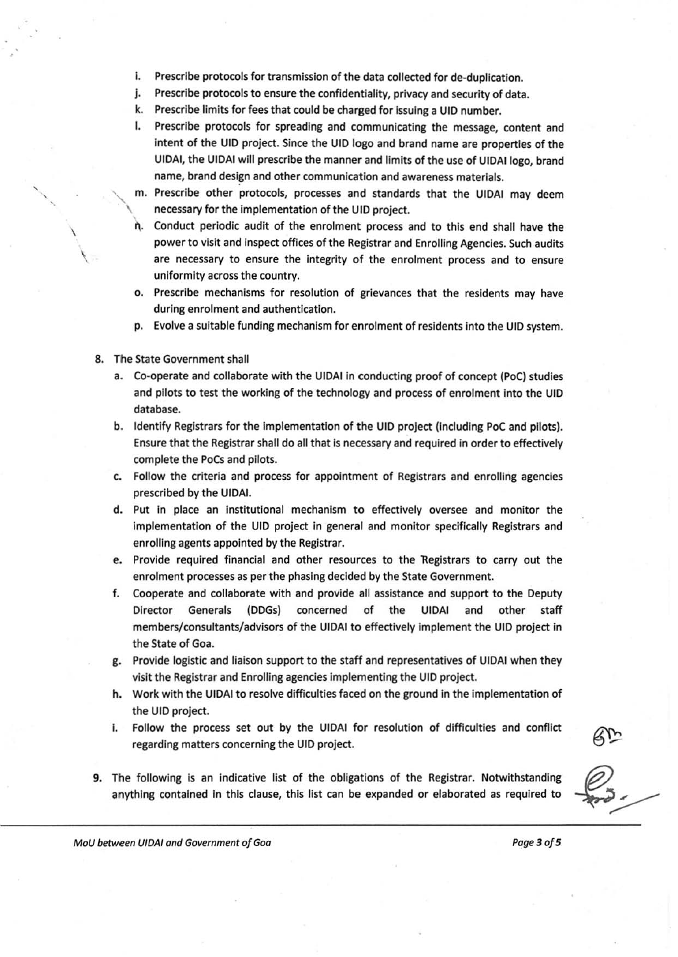- I. Prescribe protocols for transmission of the data collected for de-duplication.
- j. Prescribe protocols to ensure the confidentiality, privacy and security of data.
- k. Prescribe limits for fees that could be charged for issuing a UID number.
- I. Prescribe protocols for spreading and communicating the message, content and intent of the UID project. Since the UID logo and brand name are properties of the UIDAI, the UIDAI will prescribe the manner and limits of the use of UIDAllogo, brand name, brand design and other communication and awareness materials.
- m. Prescribe other protocols, processes and standards that the UIDAI may deem necessary for the implementation of the UID project.
- Conduct periodic audit of the enrolment process and to this end shall have the power to visit and inspect offices of the Registrar and Enrolling Agencies. Such audits are necessary to ensure the integrity of the enrolment process and to ensure uniformity across the country.
- o. Prescribe mechanisms for resolution of grievances that the residents may have during enrolment and authentication.
- p. Evolve a suitable funding mechanism for enrolment of residents into the UfO system.
- 8. The State Government shall

 $\overline{\phantom{a}}$ 

 $\checkmark$ 

 $\overline{\phantom{a}^{\prime}}$ 

- a. Co-operate and collaborate with the UIDAI in conducting proof of concept (PoC) studies and pilots to test the working of the technology and process of enrolment into the UID database.
- b. Identify Registrars for the implementation of the UIO project (including PoC and pilots). Ensure that the Registrar shall do all that is necessary and required in order to effectively complete the PoCs and pilots.
- c. Follow the criteria and process for appointment of Registrars and enrolling agencies prescribed by the UIDAI.
- d. Put in place an institutional mechanism to effectively oversee and monitor the implementation of the UID project In general and monitor specifically Registrars and enrolling agents appointed by the Registrar.
- e. Provide required financial and other resources to the 'Registrars to carry out the enrolment processes as per the phasing decided by the State Government.
- f. Cooperate and collaborate with and provide all assistance and support to the Deputy Director Generals (DDGs) concerned of the UIDAI and other staff members/ consultants/advisors of the UIDAI to effectively Implement the UID project in the State of Goa.
- g. Provide logistic and liaison support to the staff and representatives of UIOAI when they visit the Registrar and Enrolling agencies Implementing the UID project.
- h. Work with the UIDAI to resolve difficulties faced on the ground in the implementation of the UIO project.
- i. Follow the process set out by the UIDAI for resolution of difficulties and conflict regarding matters concerning the UIO project.
- 9. The following is an indicative list of the obligations of the Registrar. Notwithstanding anything contained in this clause, this list can be expanded or elaborated as required to

MoU between UIDAI and Government of Goa **Page 3 of 5** and 2008 and 2008 and 2008 and 2008 and 2008 and 2008 and 2008 and 2008 and 2008 and 2008 and 2008 and 2008 and 2008 and 2008 and 2008 and 2008 and 2008 and 2008 and 20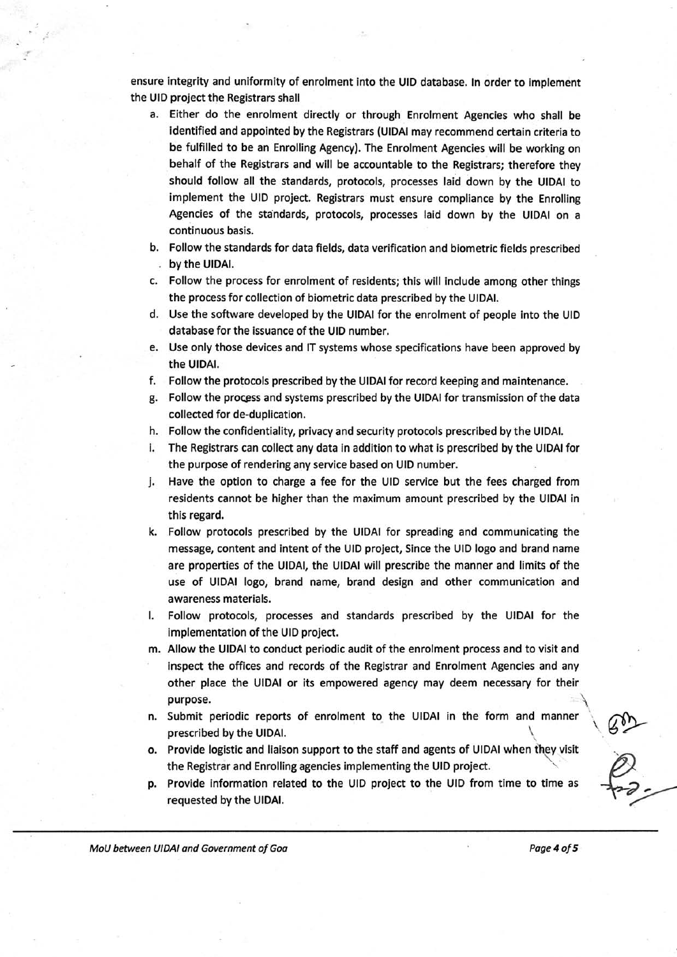ensure integrity and uniformity of enrolment into the UID database. In order to implement the UIO project the Registrars shall

- a. Either do the enrolment directly or through Enrolment Agencies who shall be identified and appointed by the Registrars (UIDAI may recommend certain criteria to be fulfilled to be an Enrolling Agency). The Enrolment Agencies will be working on behalf of the Registrars and will be accountable to the Registrars; therefore they should follow all the standards, protocols, processes laid down by the UIDAI to implement the UIO project. Registrars must ensure compliance by the Enrolling Agencies of the standards, protocols, processes laid down by the UIDAI on a continuous basis.
- b. Follow the standards for data fields, data verification and biometric fields prescribed by the UIDAI.
- c. Follow the process for enrolment of residents; this will include among other things the process for collection of biometric data prescribed by the UIDAI.
- d, Use the software developed by the UIDAI for the enrolment of people into the UID database for the issuance of the UID number.
- e, Use only those devices and IT systems whose specifications have been approved by the UIDAI.
- f. Follow the protocols prescribed by the UIDAI for record keeping and maintenance.
- g. Follow the process and systems prescribed by the UIDAI for transmission of the data collected for de-duplication.
- h. Follow the confidentiality, privacy and security protocols prescribed by the UIDAI.
- i. The Registrars can collect any data in addition to what is prescribed by the UIDAI for the purpose of rendering any service based on UID number.
- j. Have the option to charge a fee for the UID service but the fees charged from residents cannot be higher than the maximum amount prescribed by the UIDAI in this regard.
- k. Follow protocols prescribed by the UIDAI for spreading and communicating the message, content and intent of the UID project, Since the UID logo and brand name are properties of the UIDAI, the UIDAI will prescribe the manner and limits of the use of UIDAI logo, brand name, brand design and other communication and awareness materials.
- I. Follow protocols, processes and standards prescribed by the UIDAI for the implementation of the UID project.
- m. Allow the UIDAI to conduct periodic audit of the enrolment process and to visit and inspect the offices and records of the Registrar and Enrolment Agencies and any other place the UIDAI or its empowered agency may deem necessary for their purpose.  $\qquad \qquad \Box$
- n. Submit periodic reports of enrolment to the UIDAI in the form and manner prescribed by the UIDAI.
- o. Provide logistic and liaison support to the staff and agents of UIDAI when they visit the Registrar and Enrolling agencies implementing the UID project.
- p. Provide information related to the UID project to the UID from time to time as requested by the UIDAI.

MoU between UIDAI and Government of Goa **Postage 4** of 5

•